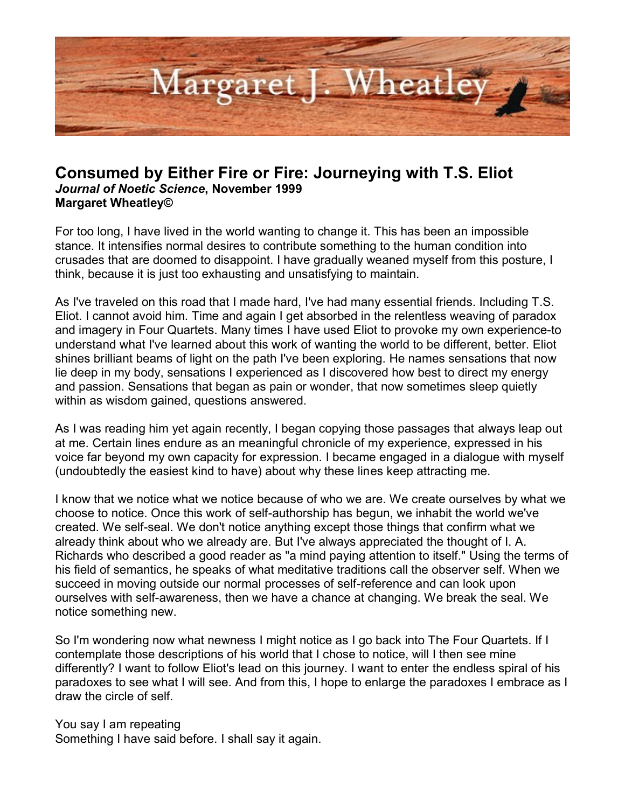

## **Consumed by Either Fire or Fire: Journeying with T.S. Eliot** *Journal of Noetic Science***, November 1999 Margaret Wheatley©**

For too long, I have lived in the world wanting to change it. This has been an impossible stance. It intensifies normal desires to contribute something to the human condition into crusades that are doomed to disappoint. I have gradually weaned myself from this posture, I think, because it is just too exhausting and unsatisfying to maintain.

As I've traveled on this road that I made hard, I've had many essential friends. Including T.S. Eliot. I cannot avoid him. Time and again I get absorbed in the relentless weaving of paradox and imagery in Four Quartets. Many times I have used Eliot to provoke my own experience-to understand what I've learned about this work of wanting the world to be different, better. Eliot shines brilliant beams of light on the path I've been exploring. He names sensations that now lie deep in my body, sensations I experienced as I discovered how best to direct my energy and passion. Sensations that began as pain or wonder, that now sometimes sleep quietly within as wisdom gained, questions answered.

As I was reading him yet again recently, I began copying those passages that always leap out at me. Certain lines endure as an meaningful chronicle of my experience, expressed in his voice far beyond my own capacity for expression. I became engaged in a dialogue with myself (undoubtedly the easiest kind to have) about why these lines keep attracting me.

I know that we notice what we notice because of who we are. We create ourselves by what we choose to notice. Once this work of self-authorship has begun, we inhabit the world we've created. We self-seal. We don't notice anything except those things that confirm what we already think about who we already are. But I've always appreciated the thought of I. A. Richards who described a good reader as "a mind paying attention to itself." Using the terms of his field of semantics, he speaks of what meditative traditions call the observer self. When we succeed in moving outside our normal processes of self-reference and can look upon ourselves with self-awareness, then we have a chance at changing. We break the seal. We notice something new.

So I'm wondering now what newness I might notice as I go back into The Four Quartets. If I contemplate those descriptions of his world that I chose to notice, will I then see mine differently? I want to follow Eliot's lead on this journey. I want to enter the endless spiral of his paradoxes to see what I will see. And from this, I hope to enlarge the paradoxes I embrace as I draw the circle of self.

You say I am repeating Something I have said before. I shall say it again.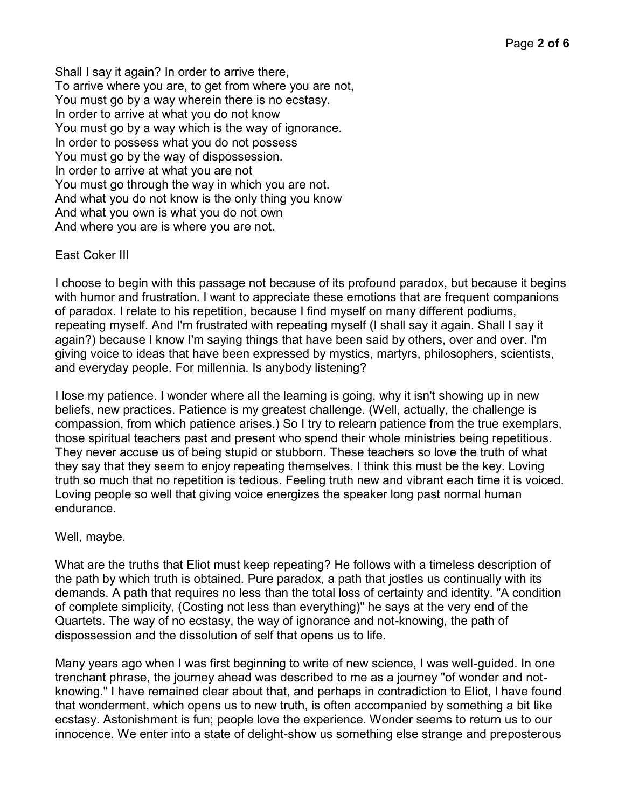Shall I say it again? In order to arrive there, To arrive where you are, to get from where you are not, You must go by a way wherein there is no ecstasy. In order to arrive at what you do not know You must go by a way which is the way of ignorance. In order to possess what you do not possess You must go by the way of dispossession. In order to arrive at what you are not You must go through the way in which you are not. And what you do not know is the only thing you know And what you own is what you do not own And where you are is where you are not.

## East Coker III

I choose to begin with this passage not because of its profound paradox, but because it begins with humor and frustration. I want to appreciate these emotions that are frequent companions of paradox. I relate to his repetition, because I find myself on many different podiums, repeating myself. And I'm frustrated with repeating myself (I shall say it again. Shall I say it again?) because I know I'm saying things that have been said by others, over and over. I'm giving voice to ideas that have been expressed by mystics, martyrs, philosophers, scientists, and everyday people. For millennia. Is anybody listening?

I lose my patience. I wonder where all the learning is going, why it isn't showing up in new beliefs, new practices. Patience is my greatest challenge. (Well, actually, the challenge is compassion, from which patience arises.) So I try to relearn patience from the true exemplars, those spiritual teachers past and present who spend their whole ministries being repetitious. They never accuse us of being stupid or stubborn. These teachers so love the truth of what they say that they seem to enjoy repeating themselves. I think this must be the key. Loving truth so much that no repetition is tedious. Feeling truth new and vibrant each time it is voiced. Loving people so well that giving voice energizes the speaker long past normal human endurance.

## Well, maybe.

What are the truths that Eliot must keep repeating? He follows with a timeless description of the path by which truth is obtained. Pure paradox, a path that jostles us continually with its demands. A path that requires no less than the total loss of certainty and identity. "A condition of complete simplicity, (Costing not less than everything)" he says at the very end of the Quartets. The way of no ecstasy, the way of ignorance and not-knowing, the path of dispossession and the dissolution of self that opens us to life.

Many years ago when I was first beginning to write of new science, I was well-guided. In one trenchant phrase, the journey ahead was described to me as a journey "of wonder and notknowing." I have remained clear about that, and perhaps in contradiction to Eliot, I have found that wonderment, which opens us to new truth, is often accompanied by something a bit like ecstasy. Astonishment is fun; people love the experience. Wonder seems to return us to our innocence. We enter into a state of delight-show us something else strange and preposterous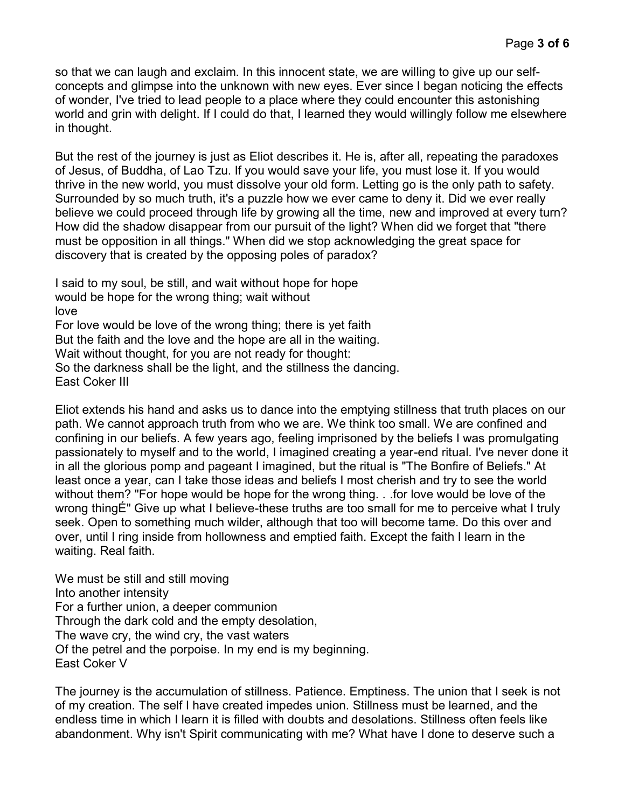so that we can laugh and exclaim. In this innocent state, we are willing to give up our selfconcepts and glimpse into the unknown with new eyes. Ever since I began noticing the effects of wonder, I've tried to lead people to a place where they could encounter this astonishing world and grin with delight. If I could do that, I learned they would willingly follow me elsewhere in thought.

But the rest of the journey is just as Eliot describes it. He is, after all, repeating the paradoxes of Jesus, of Buddha, of Lao Tzu. If you would save your life, you must lose it. If you would thrive in the new world, you must dissolve your old form. Letting go is the only path to safety. Surrounded by so much truth, it's a puzzle how we ever came to deny it. Did we ever really believe we could proceed through life by growing all the time, new and improved at every turn? How did the shadow disappear from our pursuit of the light? When did we forget that "there must be opposition in all things." When did we stop acknowledging the great space for discovery that is created by the opposing poles of paradox?

I said to my soul, be still, and wait without hope for hope would be hope for the wrong thing; wait without love For love would be love of the wrong thing; there is yet faith But the faith and the love and the hope are all in the waiting. Wait without thought, for you are not ready for thought: So the darkness shall be the light, and the stillness the dancing. East Coker III

Eliot extends his hand and asks us to dance into the emptying stillness that truth places on our path. We cannot approach truth from who we are. We think too small. We are confined and confining in our beliefs. A few years ago, feeling imprisoned by the beliefs I was promulgating passionately to myself and to the world, I imagined creating a year-end ritual. I've never done it in all the glorious pomp and pageant I imagined, but the ritual is "The Bonfire of Beliefs." At least once a year, can I take those ideas and beliefs I most cherish and try to see the world without them? "For hope would be hope for the wrong thing. . .for love would be love of the wrong thingÉ" Give up what I believe-these truths are too small for me to perceive what I truly seek. Open to something much wilder, although that too will become tame. Do this over and over, until I ring inside from hollowness and emptied faith. Except the faith I learn in the waiting. Real faith.

We must be still and still moving Into another intensity For a further union, a deeper communion Through the dark cold and the empty desolation, The wave cry, the wind cry, the vast waters Of the petrel and the porpoise. In my end is my beginning. East Coker V

The journey is the accumulation of stillness. Patience. Emptiness. The union that I seek is not of my creation. The self I have created impedes union. Stillness must be learned, and the endless time in which I learn it is filled with doubts and desolations. Stillness often feels like abandonment. Why isn't Spirit communicating with me? What have I done to deserve such a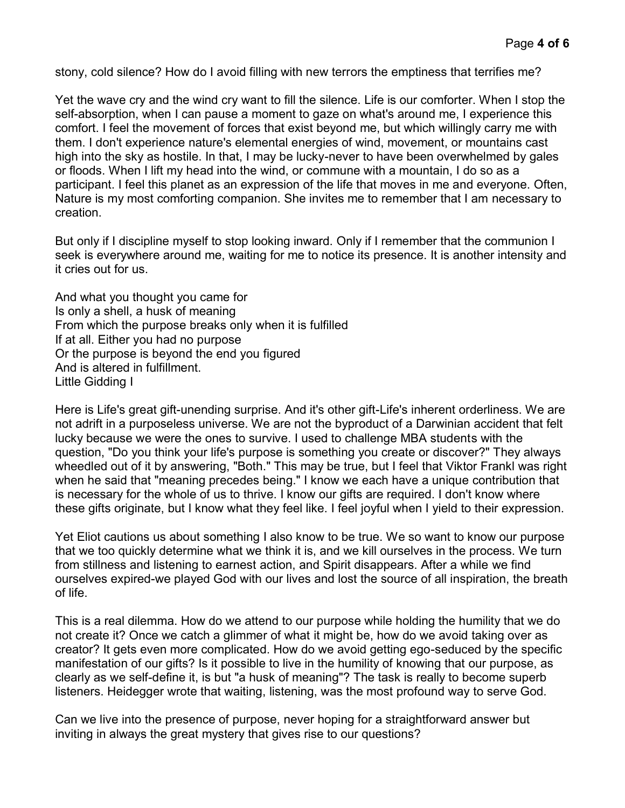stony, cold silence? How do I avoid filling with new terrors the emptiness that terrifies me?

Yet the wave cry and the wind cry want to fill the silence. Life is our comforter. When I stop the self-absorption, when I can pause a moment to gaze on what's around me, I experience this comfort. I feel the movement of forces that exist beyond me, but which willingly carry me with them. I don't experience nature's elemental energies of wind, movement, or mountains cast high into the sky as hostile. In that, I may be lucky-never to have been overwhelmed by gales or floods. When I lift my head into the wind, or commune with a mountain, I do so as a participant. I feel this planet as an expression of the life that moves in me and everyone. Often, Nature is my most comforting companion. She invites me to remember that I am necessary to creation.

But only if I discipline myself to stop looking inward. Only if I remember that the communion I seek is everywhere around me, waiting for me to notice its presence. It is another intensity and it cries out for us.

And what you thought you came for Is only a shell, a husk of meaning From which the purpose breaks only when it is fulfilled If at all. Either you had no purpose Or the purpose is beyond the end you figured And is altered in fulfillment. Little Gidding I

Here is Life's great gift-unending surprise. And it's other gift-Life's inherent orderliness. We are not adrift in a purposeless universe. We are not the byproduct of a Darwinian accident that felt lucky because we were the ones to survive. I used to challenge MBA students with the question, "Do you think your life's purpose is something you create or discover?" They always wheedled out of it by answering, "Both." This may be true, but I feel that Viktor Frankl was right when he said that "meaning precedes being." I know we each have a unique contribution that is necessary for the whole of us to thrive. I know our gifts are required. I don't know where these gifts originate, but I know what they feel like. I feel joyful when I yield to their expression.

Yet Eliot cautions us about something I also know to be true. We so want to know our purpose that we too quickly determine what we think it is, and we kill ourselves in the process. We turn from stillness and listening to earnest action, and Spirit disappears. After a while we find ourselves expired-we played God with our lives and lost the source of all inspiration, the breath of life.

This is a real dilemma. How do we attend to our purpose while holding the humility that we do not create it? Once we catch a glimmer of what it might be, how do we avoid taking over as creator? It gets even more complicated. How do we avoid getting ego-seduced by the specific manifestation of our gifts? Is it possible to live in the humility of knowing that our purpose, as clearly as we self-define it, is but "a husk of meaning"? The task is really to become superb listeners. Heidegger wrote that waiting, listening, was the most profound way to serve God.

Can we live into the presence of purpose, never hoping for a straightforward answer but inviting in always the great mystery that gives rise to our questions?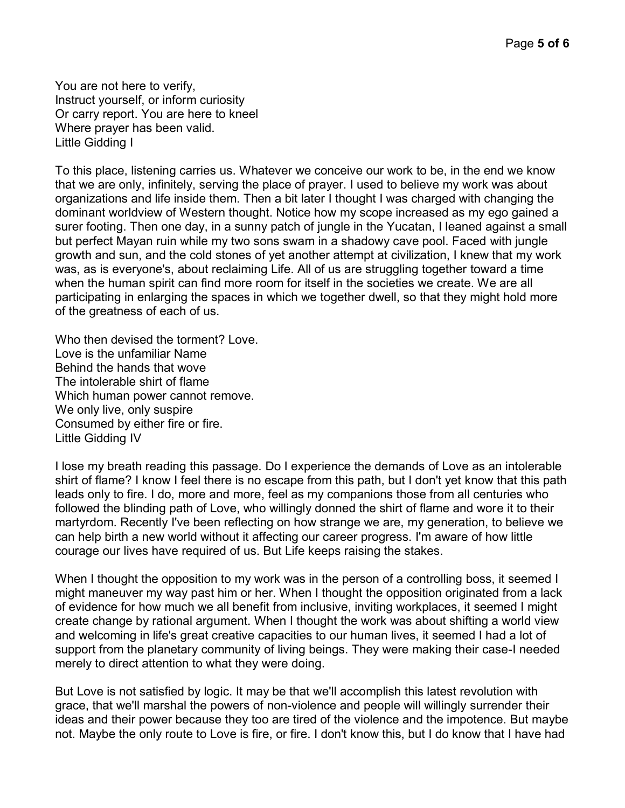You are not here to verify, Instruct yourself, or inform curiosity Or carry report. You are here to kneel Where prayer has been valid. Little Gidding I

To this place, listening carries us. Whatever we conceive our work to be, in the end we know that we are only, infinitely, serving the place of prayer. I used to believe my work was about organizations and life inside them. Then a bit later I thought I was charged with changing the dominant worldview of Western thought. Notice how my scope increased as my ego gained a surer footing. Then one day, in a sunny patch of jungle in the Yucatan, I leaned against a small but perfect Mayan ruin while my two sons swam in a shadowy cave pool. Faced with jungle growth and sun, and the cold stones of yet another attempt at civilization, I knew that my work was, as is everyone's, about reclaiming Life. All of us are struggling together toward a time when the human spirit can find more room for itself in the societies we create. We are all participating in enlarging the spaces in which we together dwell, so that they might hold more of the greatness of each of us.

Who then devised the torment? Love. Love is the unfamiliar Name Behind the hands that wove The intolerable shirt of flame Which human power cannot remove. We only live, only suspire Consumed by either fire or fire. Little Gidding IV

I lose my breath reading this passage. Do I experience the demands of Love as an intolerable shirt of flame? I know I feel there is no escape from this path, but I don't yet know that this path leads only to fire. I do, more and more, feel as my companions those from all centuries who followed the blinding path of Love, who willingly donned the shirt of flame and wore it to their martyrdom. Recently I've been reflecting on how strange we are, my generation, to believe we can help birth a new world without it affecting our career progress. I'm aware of how little courage our lives have required of us. But Life keeps raising the stakes.

When I thought the opposition to my work was in the person of a controlling boss, it seemed I might maneuver my way past him or her. When I thought the opposition originated from a lack of evidence for how much we all benefit from inclusive, inviting workplaces, it seemed I might create change by rational argument. When I thought the work was about shifting a world view and welcoming in life's great creative capacities to our human lives, it seemed I had a lot of support from the planetary community of living beings. They were making their case-I needed merely to direct attention to what they were doing.

But Love is not satisfied by logic. It may be that we'll accomplish this latest revolution with grace, that we'll marshal the powers of non-violence and people will willingly surrender their ideas and their power because they too are tired of the violence and the impotence. But maybe not. Maybe the only route to Love is fire, or fire. I don't know this, but I do know that I have had